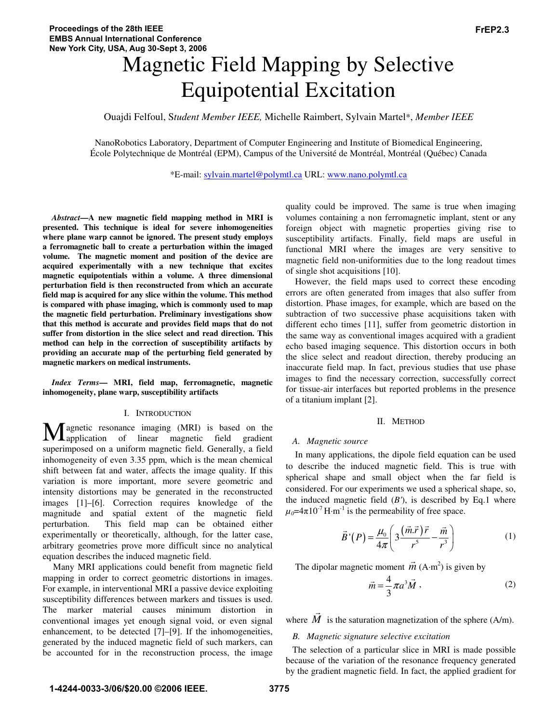# Magnetic Field Mapping by Selective Equipotential Excitation

Ouajdi Felfoul, S*tudent Member IEEE,* Michelle Raimbert, Sylvain Martel\*, *Member IEEE*

NanoRobotics Laboratory, Department of Computer Engineering and Institute of Biomedical Engineering, École Polytechnique de Montréal (EPM), Campus of the Université de Montréal, Montréal (Québec) Canada

\*E-mail: sylvain.martel@polymtl.ca URL: www.nano.polymtl.ca

*Abstract***—A new magnetic field mapping method in MRI is presented. This technique is ideal for severe inhomogeneities where plane warp cannot be ignored. The present study employs a ferromagnetic ball to create a perturbation within the imaged volume. The magnetic moment and position of the device are acquired experimentally with a new technique that excites magnetic equipotentials within a volume. A three dimensional perturbation field is then reconstructed from which an accurate field map is acquired for any slice within the volume. This method is compared with phase imaging, which is commonly used to map the magnetic field perturbation. Preliminary investigations show that this method is accurate and provides field maps that do not suffer from distortion in the slice select and read direction. This method can help in the correction of susceptibility artifacts by providing an accurate map of the perturbing field generated by magnetic markers on medical instruments.** 

*Index Terms***— MRI, field map, ferromagnetic, magnetic inhomogeneity, plane warp, susceptibility artifacts** 

## I. INTRODUCTION

agnetic resonance imaging (MRI) is based on the application of linear magnetic field gradient **M** agnetic resonance imaging (MRI) is based on the application of linear magnetic field gradient superimposed on a uniform magnetic field. Generally, a field inhomogeneity of even 3.35 ppm, which is the mean chemical shift between fat and water, affects the image quality. If this variation is more important, more severe geometric and intensity distortions may be generated in the reconstructed images [1]–[6]. Correction requires knowledge of the magnitude and spatial extent of the magnetic field perturbation. This field map can be obtained either experimentally or theoretically, although, for the latter case, arbitrary geometries prove more difficult since no analytical equation describes the induced magnetic field.

 Many MRI applications could benefit from magnetic field mapping in order to correct geometric distortions in images. For example, in interventional MRI a passive device exploiting susceptibility differences between markers and tissues is used. The marker material causes minimum distortion in conventional images yet enough signal void, or even signal enhancement, to be detected [7]–[9]. If the inhomogeneities, generated by the induced magnetic field of such markers, can be accounted for in the reconstruction process, the image quality could be improved. The same is true when imaging volumes containing a non ferromagnetic implant, stent or any foreign object with magnetic properties giving rise to susceptibility artifacts. Finally, field maps are useful in functional MRI where the images are very sensitive to magnetic field non-uniformities due to the long readout times of single shot acquisitions [10].

However, the field maps used to correct these encoding errors are often generated from images that also suffer from distortion. Phase images, for example, which are based on the subtraction of two successive phase acquisitions taken with different echo times [11], suffer from geometric distortion in the same way as conventional images acquired with a gradient echo based imaging sequence. This distortion occurs in both the slice select and readout direction, thereby producing an inaccurate field map. In fact, previous studies that use phase images to find the necessary correction, successfully correct for tissue-air interfaces but reported problems in the presence of a titanium implant [2].

#### II. METHOD

#### *A. Magnetic source*

In many applications, the dipole field equation can be used to describe the induced magnetic field. This is true with spherical shape and small object when the far field is considered. For our experiments we used a spherical shape, so, the induced magnetic field  $(B')$ , is described by Eq.1 where  $\mu_0$ =4 $\pi$ 10<sup>-7</sup> H·m<sup>-1</sup> is the permeability of free space.

$$
\vec{B}^{\prime}(P) = \frac{\mu_0}{4\pi} \left( 3\frac{(\vec{m}.\vec{r})\vec{r}}{r^5} - \frac{\vec{m}}{r^3} \right) \tag{1}
$$

The dipolar magnetic moment  $\vec{m}$  (A·m<sup>2</sup>) is given by

$$
\vec{m} = \frac{4}{3}\pi a^3 \vec{M},\qquad(2)
$$

where *M*  $\rightarrow$ is the saturation magnetization of the sphere (A/m).

# *B. Magnetic signature selective excitation*

The selection of a particular slice in MRI is made possible because of the variation of the resonance frequency generated by the gradient magnetic field. In fact, the applied gradient for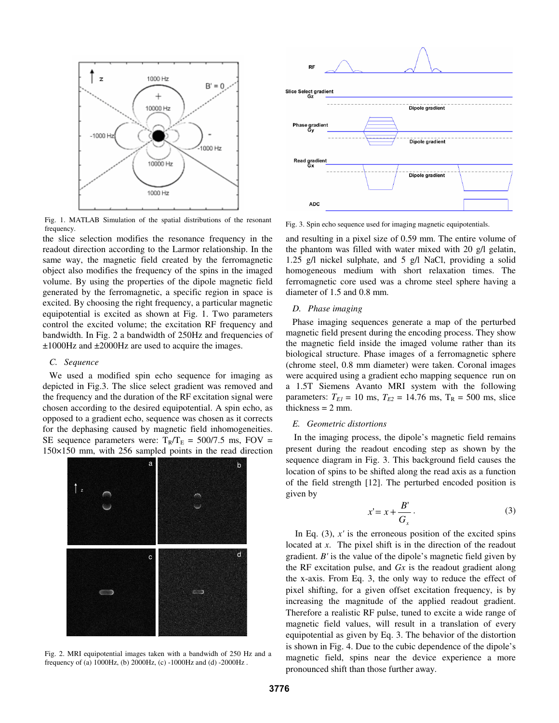

Fig. 1. MATLAB Simulation of the spatial distributions of the resonant frequency.

the slice selection modifies the resonance frequency in the readout direction according to the Larmor relationship. In the same way, the magnetic field created by the ferromagnetic object also modifies the frequency of the spins in the imaged volume. By using the properties of the dipole magnetic field generated by the ferromagnetic, a specific region in space is excited. By choosing the right frequency, a particular magnetic equipotential is excited as shown at Fig. 1. Two parameters control the excited volume; the excitation RF frequency and bandwidth. In Fig. 2 a bandwidth of 250Hz and frequencies of ±1000Hz and ±2000Hz are used to acquire the images.

### *C. Sequence*

We used a modified spin echo sequence for imaging as depicted in Fig.3. The slice select gradient was removed and the frequency and the duration of the RF excitation signal were chosen according to the desired equipotential. A spin echo, as opposed to a gradient echo, sequence was chosen as it corrects for the dephasing caused by magnetic field inhomogeneities. SE sequence parameters were:  $T_R/T_E = 500/7.5$  ms, FOV = 150×150 mm, with 256 sampled points in the read direction



Fig. 2. MRI equipotential images taken with a bandwidh of 250 Hz and a frequency of (a) 1000Hz, (b) 2000Hz, (c) -1000Hz and (d) -2000Hz .



Fig. 3. Spin echo sequence used for imaging magnetic equipotentials.

and resulting in a pixel size of 0.59 mm. The entire volume of the phantom was filled with water mixed with 20 g/l gelatin, 1.25 g/l nickel sulphate, and 5 g/l NaCl, providing a solid homogeneous medium with short relaxation times. The ferromagnetic core used was a chrome steel sphere having a diameter of 1.5 and 0.8 mm.

### *D. Phase imaging*

Phase imaging sequences generate a map of the perturbed magnetic field present during the encoding process. They show the magnetic field inside the imaged volume rather than its biological structure. Phase images of a ferromagnetic sphere (chrome steel, 0.8 mm diameter) were taken. Coronal images were acquired using a gradient echo mapping sequence run on a 1.5T Siemens Avanto MRI system with the following parameters:  $T_{EI} = 10$  ms,  $T_{E2} = 14.76$  ms,  $T_R = 500$  ms, slice thickness  $= 2$  mm.

# *E. Geometric distortions*

In the imaging process, the dipole's magnetic field remains present during the readout encoding step as shown by the sequence diagram in Fig. 3. This background field causes the location of spins to be shifted along the read axis as a function of the field strength [12]. The perturbed encoded position is given by

$$
x'=x+\frac{B'}{G_x}.
$$
 (3)

In Eq.  $(3)$ ,  $x'$  is the erroneous position of the excited spins located at *x*. The pixel shift is in the direction of the readout gradient. *B'* is the value of the dipole's magnetic field given by the RF excitation pulse, and *Gx* is the readout gradient along the x-axis. From Eq. 3, the only way to reduce the effect of pixel shifting, for a given offset excitation frequency, is by increasing the magnitude of the applied readout gradient. Therefore a realistic RF pulse, tuned to excite a wide range of magnetic field values, will result in a translation of every equipotential as given by Eq. 3. The behavior of the distortion is shown in Fig. 4. Due to the cubic dependence of the dipole's magnetic field, spins near the device experience a more pronounced shift than those further away.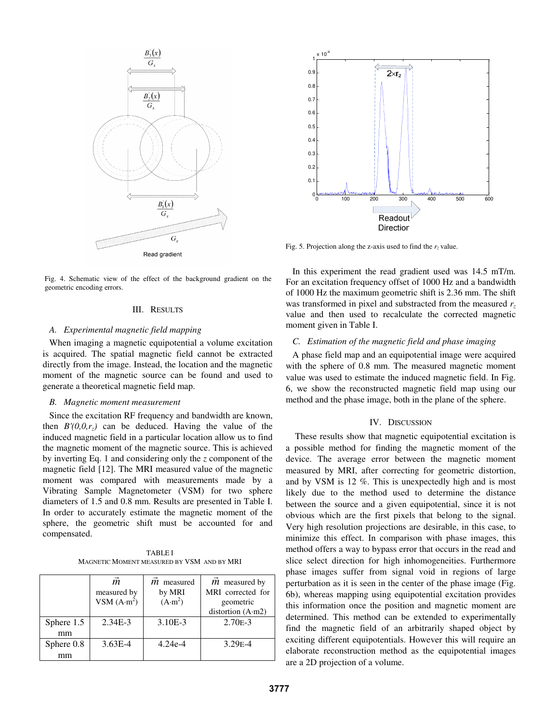

Fig. 4. Schematic view of the effect of the background gradient on the geometric encoding errors. geometric encoding errors.

## III. RESULTS

# *A. Experimental magnetic field mapping*

When imaging a magnetic equipotential a volume excitation is acquired. The spatial magnetic field cannot be extracted directly from the image. Instead, the location and the magnetic moment of the magnetic source can be found and used to generate a theoretical magnetic field map.

#### *B. Magnetic moment measurement*

Since the excitation RF frequency and bandwidth are known, then  $B'(0,0,r_z)$  can be deduced. Having the value of the induced magnetic field in a particular location allow us to find the magnetic moment of the magnetic source. This is achieved by inverting Eq. 1 and considering only the *z* component of the magnetic field [12]. The MRI measured value of the magnetic moment was compared with measurements made by a Vibrating Sample Magnetometer (VSM) for two sphere diameters of 1.5 and 0.8 mm. Results are presented in Table I. In order to accurately estimate the magnetic moment of the sphere, the geometric shift must be accounted for and compensated.

TABLE I MAGNETIC MOMENT MEASURED BY VSM AND BY MRI

|            | $\vec{m}$<br>measured by<br>VSM $(A \cdot m^2)$ | <i>m</i> measured<br>by MRI<br>$(A \cdot m^2)$ | $m$ measured by<br>MRI corrected for<br>geometric<br>distortion (A·m2) |
|------------|-------------------------------------------------|------------------------------------------------|------------------------------------------------------------------------|
| Sphere 1.5 | $2.34E-3$                                       | $3.10E-3$                                      | $2.70E-3$                                                              |
| mm         |                                                 |                                                |                                                                        |
| Sphere 0.8 | $3.63E - 4$                                     | $4.24e-4$                                      | $3.29E - 4$                                                            |
| mm         |                                                 |                                                |                                                                        |



Fig. 5. Projection along the z-axis used to find the  $r<sub>z</sub>$  value.

In this experiment the read gradient used was 14.5 mT/m. For an excitation frequency offset of 1000 Hz and a bandwidth of 1000 Hz the maximum geometric shift is 2.36 mm. The shift was transformed in pixel and substracted from the measured  $r<sub>z</sub>$ value and then used to recalculate the corrected magnetic moment given in Table I.

# *C. Estimation of the magnetic field and phase imaging*

A phase field map and an equipotential image were acquired with the sphere of 0.8 mm. The measured magnetic moment value was used to estimate the induced magnetic field. In Fig. 6, we show the reconstructed magnetic field map using our method and the phase image, both in the plane of the sphere.

# IV. DISCUSSION

These results show that magnetic equipotential excitation is a possible method for finding the magnetic moment of the device. The average error between the magnetic moment measured by MRI, after correcting for geometric distortion, and by VSM is 12 %. This is unexpectedly high and is most likely due to the method used to determine the distance between the source and a given equipotential, since it is not obvious which are the first pixels that belong to the signal. Very high resolution projections are desirable, in this case, to minimize this effect. In comparison with phase images, this method offers a way to bypass error that occurs in the read and slice select direction for high inhomogeneities. Furthermore phase images suffer from signal void in regions of large perturbation as it is seen in the center of the phase image (Fig. 6b), whereas mapping using equipotential excitation provides this information once the position and magnetic moment are determined. This method can be extended to experimentally find the magnetic field of an arbitrarily shaped object by exciting different equipotentials. However this will require an elaborate reconstruction method as the equipotential images are a 2D projection of a volume.